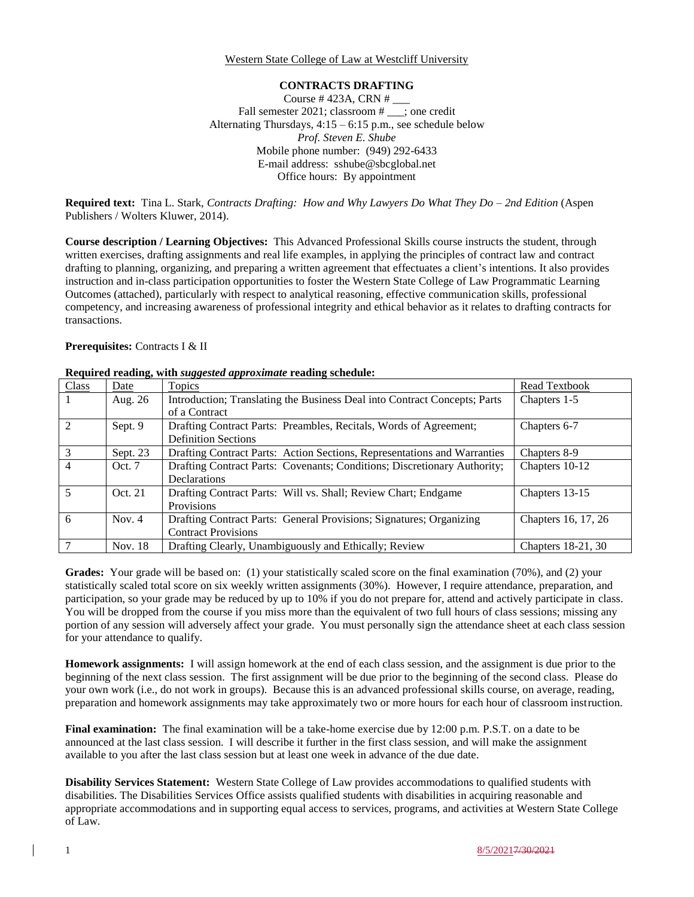Western State College of Law at Westcliff University

#### **CONTRACTS DRAFTING**

Course # 423A, CRN # \_\_\_ Fall semester 2021; classroom # \_\_\_; one credit Alternating Thursdays, 4:15 – 6:15 p.m., see schedule below *Prof. Steven E. Shube* Mobile phone number: (949) 292-6433 E-mail address: sshube@sbcglobal.net Office hours: By appointment

**Required text:** Tina L. Stark, *Contracts Drafting: How and Why Lawyers Do What They Do – 2nd Edition* (Aspen Publishers / Wolters Kluwer, 2014).

**Course description / Learning Objectives:** This Advanced Professional Skills course instructs the student, through written exercises, drafting assignments and real life examples, in applying the principles of contract law and contract drafting to planning, organizing, and preparing a written agreement that effectuates a client's intentions. It also provides instruction and in-class participation opportunities to foster the Western State College of Law Programmatic Learning Outcomes (attached), particularly with respect to analytical reasoning, effective communication skills, professional competency, and increasing awareness of professional integrity and ethical behavior as it relates to drafting contracts for transactions.

#### **Prerequisites:** Contracts I & II

| Class          | Date     | Topics                                                                    | Read Textbook       |
|----------------|----------|---------------------------------------------------------------------------|---------------------|
|                | Aug. 26  | Introduction; Translating the Business Deal into Contract Concepts; Parts | Chapters 1-5        |
|                |          | of a Contract                                                             |                     |
| 2              | Sept. 9  | Drafting Contract Parts: Preambles, Recitals, Words of Agreement;         | Chapters 6-7        |
|                |          | <b>Definition Sections</b>                                                |                     |
| $\overline{3}$ | Sept. 23 | Drafting Contract Parts: Action Sections, Representations and Warranties  | Chapters 8-9        |
| $\overline{4}$ | Oct. 7   | Drafting Contract Parts: Covenants; Conditions; Discretionary Authority;  | Chapters 10-12      |
|                |          | Declarations                                                              |                     |
| $\overline{5}$ | Oct. 21  | Drafting Contract Parts: Will vs. Shall; Review Chart; Endgame            | Chapters 13-15      |
|                |          | Provisions                                                                |                     |
| 6              | Nov. $4$ | Drafting Contract Parts: General Provisions; Signatures; Organizing       | Chapters 16, 17, 26 |
|                |          | <b>Contract Provisions</b>                                                |                     |
|                | Nov. 18  | Drafting Clearly, Unambiguously and Ethically; Review                     | Chapters 18-21, 30  |

# **Required reading, with** *suggested approximate* **reading schedule:**

Grades: Your grade will be based on: (1) your statistically scaled score on the final examination (70%), and (2) your statistically scaled total score on six weekly written assignments (30%). However, I require attendance, preparation, and participation, so your grade may be reduced by up to 10% if you do not prepare for, attend and actively participate in class. You will be dropped from the course if you miss more than the equivalent of two full hours of class sessions; missing any portion of any session will adversely affect your grade. You must personally sign the attendance sheet at each class session for your attendance to qualify.

**Homework assignments:** I will assign homework at the end of each class session, and the assignment is due prior to the beginning of the next class session. The first assignment will be due prior to the beginning of the second class. Please do your own work (i.e., do not work in groups). Because this is an advanced professional skills course, on average, reading, preparation and homework assignments may take approximately two or more hours for each hour of classroom instruction.

**Final examination:** The final examination will be a take-home exercise due by 12:00 p.m. P.S.T. on a date to be announced at the last class session. I will describe it further in the first class session, and will make the assignment available to you after the last class session but at least one week in advance of the due date.

**Disability Services Statement:** Western State College of Law provides accommodations to qualified students with disabilities. The Disabilities Services Office assists qualified students with disabilities in acquiring reasonable and appropriate accommodations and in supporting equal access to services, programs, and activities at Western State College of Law.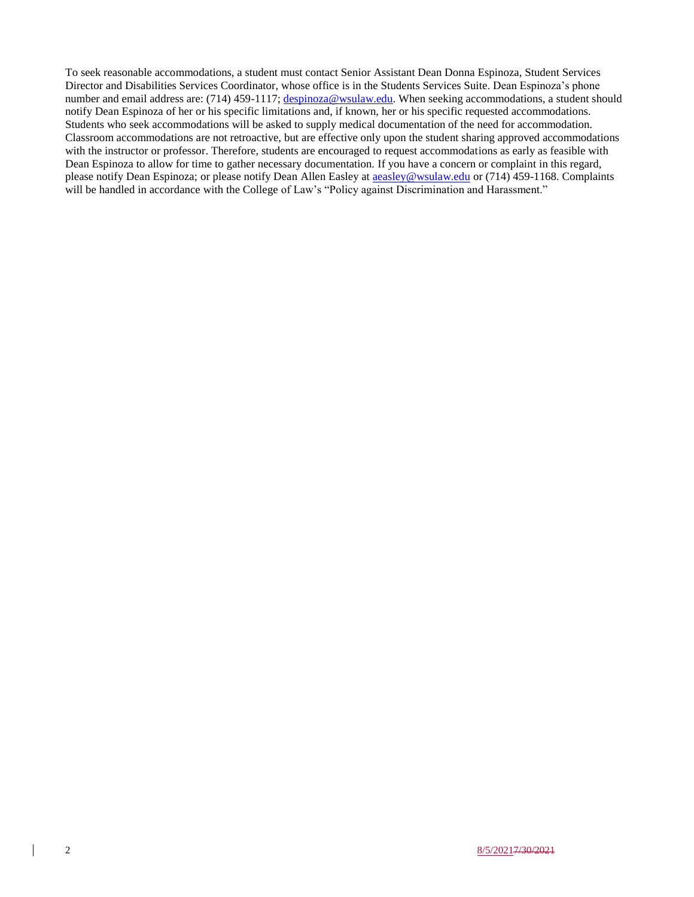To seek reasonable accommodations, a student must contact Senior Assistant Dean Donna Espinoza, Student Services Director and Disabilities Services Coordinator, whose office is in the Students Services Suite. Dean Espinoza's phone number and email address are: (714) 459-1117; [despinoza@wsulaw.edu.](mailto:despinoza@wsulaw.edu) When seeking accommodations, a student should notify Dean Espinoza of her or his specific limitations and, if known, her or his specific requested accommodations. Students who seek accommodations will be asked to supply medical documentation of the need for accommodation. Classroom accommodations are not retroactive, but are effective only upon the student sharing approved accommodations with the instructor or professor. Therefore, students are encouraged to request accommodations as early as feasible with Dean Espinoza to allow for time to gather necessary documentation. If you have a concern or complaint in this regard, please notify Dean Espinoza; or please notify Dean Allen Easley at [aeasley@wsulaw.edu](mailto:aeasley@wsulaw.edu) or (714) 459-1168. Complaints will be handled in accordance with the College of Law's "Policy against Discrimination and Harassment."

 $\overline{\phantom{a}}$